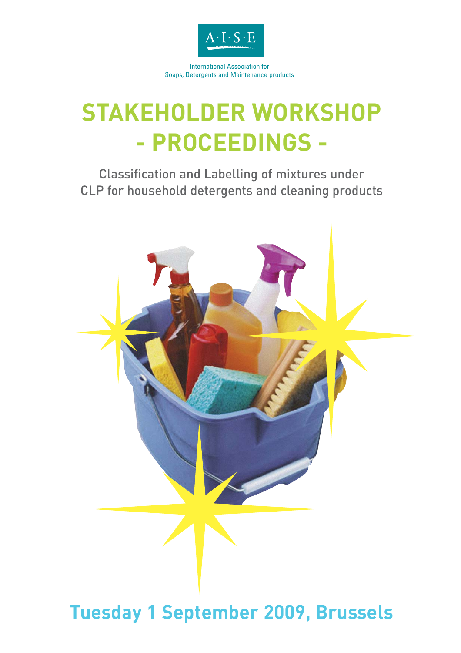

International Association for Soaps, Detergents and Maintenance products

# **STAKEHOLDER WORKSHOP - PROCEEDINGS -**

Classification and Labelling of mixtures under CLP for household detergents and cleaning products



# **Tuesday 1 September 2009, Brussels**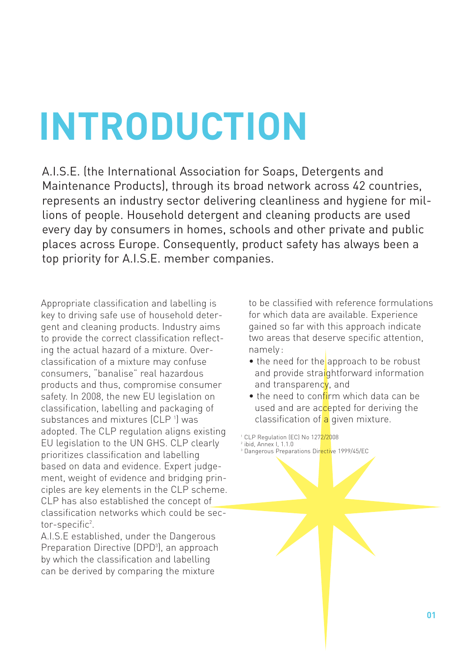# **INTRODUCTION**

A.I.S.E. (the International Association for Soaps, Detergents and Maintenance Products), through its broad network across 42 countries, represents an industry sector delivering cleanliness and hygiene for millions of people. Household detergent and cleaning products are used every day by consumers in homes, schools and other private and public places across Europe. Consequently, product safety has always been a top priority for A.I.S.E. member companies.

Appropriate classification and labelling is key to driving safe use of household detergent and cleaning products. Industry aims to provide the correct classification reflecting the actual hazard of a mixture. Overclassification of a mixture may confuse consumers, "banalise" real hazardous products and thus, compromise consumer safety. In 2008, the new EU legislation on classification, labelling and packaging of substances and mixtures (CLP <sup>1</sup>) was adopted. The CLP regulation aligns existing EU legislation to the UN GHS. CLP clearly prioritizes classification and labelling based on data and evidence. Expert judgement, weight of evidence and bridging principles are key elements in the CLP scheme. CLP has also established the concept of classification networks which could be sector-specific<sup>2</sup>.

A.I.S.E established, under the Dangerous Preparation Directive (DPD<sup>3</sup>), an approach by which the classification and labelling can be derived by comparing the mixture

to be classified with reference formulations for which data are available. Experience gained so far with this approach indicate two areas that deserve specific attention, namely :

- the need for the approach to be robust and provide straightforward information and transparency, and
- the need to confirm which data can be used and are accepted for deriving the classification of a given mixture.

<sup>1</sup> CLP Regulation (EC) No 127<mark>2/20</mark>08

<sup>2</sup> ibid, Annex I, 1.1.0 <sup>3</sup> Dangerous Preparations Directive 1999/45/EC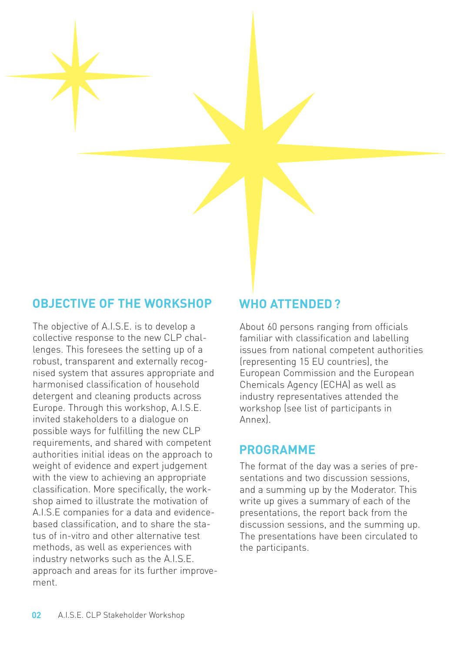#### **OBJECTIVE OF THE WORKSHOP**

The objective of A.I.S.E. is to develop a collective response to the new CLP challenges. This foresees the setting up of a robust, transparent and externally recognised system that assures appropriate and harmonised classification of household detergent and cleaning products across Europe. Through this workshop, A.I.S.E. invited stakeholders to a dialogue on possible ways for fulfilling the new CLP requirements, and shared with competent authorities initial ideas on the approach to weight of evidence and expert judgement with the view to achieving an appropriate classification. More specifically, the workshop aimed to illustrate the motivation of A.I.S.E companies for a data and evidencebased classification, and to share the status of in-vitro and other alternative test methods, as well as experiences with industry networks such as the A.I.S.E. approach and areas for its further improvement.

#### **WHO ATTENDED ?**

About 60 persons ranging from officials familiar with classification and labelling issues from national competent authorities (representing 15 EU countries), the European Commission and the European Chemicals Agency (ECHA) as well as industry representatives attended the workshop (see list of participants in Annex).

#### **PROGRAMME**

The format of the day was a series of presentations and two discussion sessions, and a summing up by the Moderator. This write up gives a summary of each of the presentations, the report back from the discussion sessions, and the summing up. The presentations have been circulated to the participants.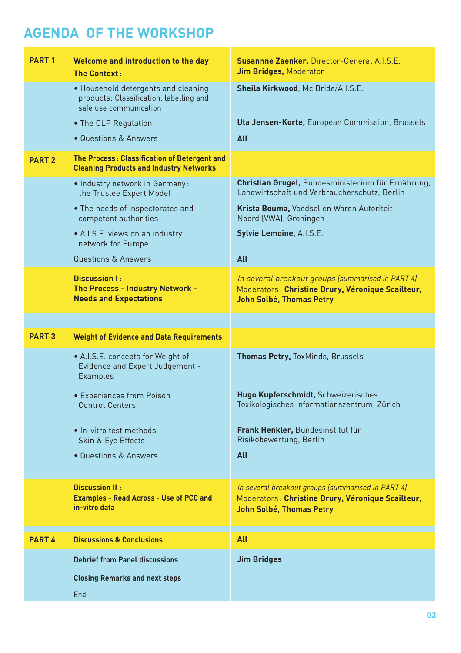# **AGENDA OF THE WORKSHOP**

| <b>PART1</b>  | Welcome and introduction to the day<br><b>The Context:</b>                                               | Susannne Zaenker, Director-General A.I.S.E.<br><b>Jim Bridges, Moderator</b>                                                               |
|---------------|----------------------------------------------------------------------------------------------------------|--------------------------------------------------------------------------------------------------------------------------------------------|
|               | • Household detergents and cleaning<br>products: Classification, labelling and<br>safe use communication | Sheila Kirkwood, Mc Bride/A.I.S.E.                                                                                                         |
|               | • The CLP Regulation                                                                                     | Uta Jensen-Korte, European Commission, Brussels                                                                                            |
|               | · Questions & Answers                                                                                    | All                                                                                                                                        |
| <b>PART 2</b> | The Process: Classification of Detergent and<br><b>Cleaning Products and Industry Networks</b>           |                                                                                                                                            |
|               | • Industry network in Germany:<br>the Trustee Expert Model                                               | Christian Grugel, Bundesministerium für Ernährung,<br>Landwirtschaft und Verbraucherschutz, Berlin                                         |
|               | • The needs of inspectorates and<br>competent authorities                                                | Krista Bouma, Voedsel en Waren Autoriteit<br>Noord (VWA), Groningen                                                                        |
|               | • A.I.S.E. views on an industry<br>network for Europe                                                    | Sylvie Lemoine, A.I.S.E.                                                                                                                   |
|               | <b>Questions &amp; Answers</b>                                                                           | <b>All</b>                                                                                                                                 |
|               | <b>Discussion I:</b><br>The Process - Industry Network -<br><b>Needs and Expectations</b>                | In several breakout groups (summarised in PART 4)<br>Moderators : Christine Drury, Véronique Scailteur,<br><b>John Solbé, Thomas Petry</b> |
|               |                                                                                                          |                                                                                                                                            |
|               |                                                                                                          |                                                                                                                                            |
| <b>PART 3</b> | <b>Weight of Evidence and Data Requirements</b>                                                          |                                                                                                                                            |
|               | • A.I.S.E. concepts for Weight of<br>Evidence and Expert Judgement -<br><b>Examples</b>                  | <b>Thomas Petry, ToxMinds, Brussels</b>                                                                                                    |
|               | • Experiences from Poison<br><b>Control Centers</b>                                                      | Hugo Kupferschmidt, Schweizerisches<br>Toxikologisches Informationszentrum, Zürich                                                         |
|               | · In-vitro test methods -<br>Skin & Eye Effects                                                          | Frank Henkler, Bundesinstitut für<br>Risikobewertung, Berlin                                                                               |
|               | · Questions & Answers                                                                                    | <b>All</b>                                                                                                                                 |
|               | <b>Discussion II:</b><br><b>Examples - Read Across - Use of PCC and</b><br>in-vitro data                 | In several breakout groups (summarised in PART 4)<br>Moderators : Christine Drury, Véronique Scailteur,<br><b>John Solbé, Thomas Petry</b> |
| <b>PART 4</b> | <b>Discussions &amp; Conclusions</b>                                                                     | <b>All</b>                                                                                                                                 |
|               | <b>Debrief from Panel discussions</b>                                                                    | <b>Jim Bridges</b>                                                                                                                         |
|               | <b>Closing Remarks and next steps</b>                                                                    |                                                                                                                                            |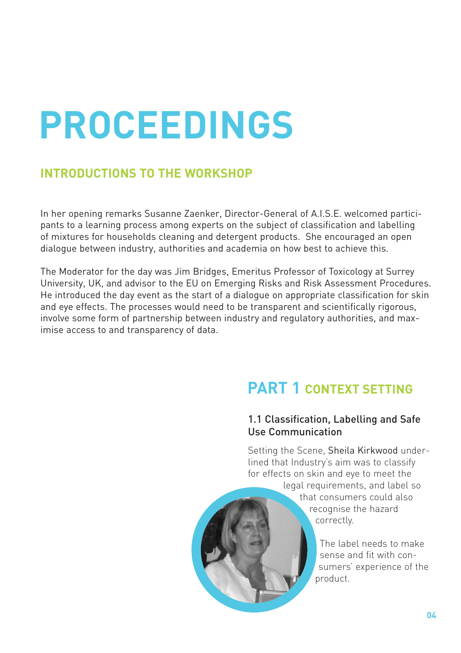# **PROCEEDINGS**

### **INTRODUCTIONS TO THE WORKSHOP**

In her opening remarks Susanne Zaenker, Director-General of A.I.S.E. welcomed participants to a learning process among experts on the subject of classification and labelling of mixtures for households cleaning and detergent products. She encouraged an open dialogue between industry, authorities and academia on how best to achieve this.

The Moderator for the day was Jim Bridges, Emeritus Professor of Toxicology at Surrey University, UK, and advisor to the EU on Emerging Risks and Risk Assessment Procedures. He introduced the day event as the start of a dialogue on appropriate classification for skin and eye effects. The processes would need to be transparent and scientifically rigorous, involve some form of partnership between industry and regulatory authorities, and maximise access to and transparency of data.

# **PART 1 CONTEXT SETTING**

#### 1.1 Classification, Labelling and Safe Use Communication

Setting the Scene, Sheila Kirkwood underlined that Industry's aim was to classify for effects on skin and eye to meet the

> legal requirements, and label so that consumers could also recognise the hazard correctly.

> > The label needs to make sense and fit with consumers' experience of the product.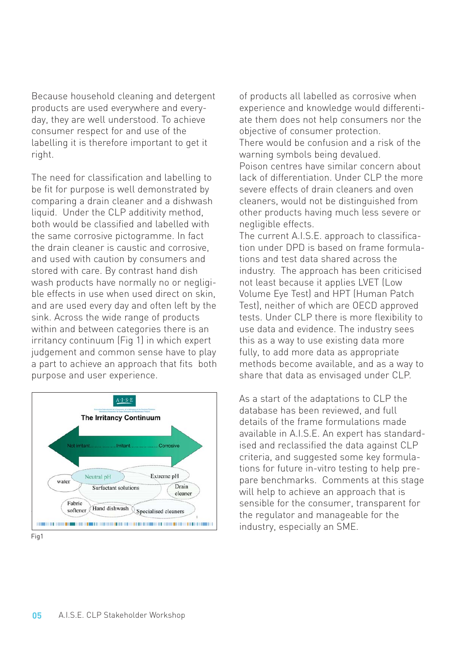Because household cleaning and detergent products are used everywhere and everyday, they are well understood. To achieve consumer respect for and use of the labelling it is therefore important to get it right.

The need for classification and labelling to be fit for purpose is well demonstrated by comparing a drain cleaner and a dishwash liquid. Under the CLP additivity method, both would be classified and labelled with the same corrosive pictogramme. In fact the drain cleaner is caustic and corrosive, and used with caution by consumers and stored with care. By contrast hand dish wash products have normally no or negligible effects in use when used direct on skin, and are used every day and often left by the sink. Across the wide range of products within and between categories there is an irritancy continuum (Fig 1) in which expert judgement and common sense have to play a part to achieve an approach that fits both purpose and user experience.



of products all labelled as corrosive when experience and knowledge would differentiate them does not help consumers nor the objective of consumer protection. There would be confusion and a risk of the warning symbols being devalued. Poison centres have similar concern about lack of differentiation. Under CLP the more severe effects of drain cleaners and oven cleaners, would not be distinguished from other products having much less severe or negligible effects. The current A.I.S.E. approach to classifica-

tion under DPD is based on frame formulations and test data shared across the industry. The approach has been criticised not least because it applies LVET (Low Volume Eye Test) and HPT (Human Patch Test), neither of which are OECD approved tests. Under CLP there is more flexibility to use data and evidence. The industry sees this as a way to use existing data more fully, to add more data as appropriate methods become available, and as a way to share that data as envisaged under CLP.

As a start of the adaptations to CLP the database has been reviewed, and full details of the frame formulations made available in A.I.S.E. An expert has standardised and reclassified the data against CLP criteria, and suggested some key formulations for future in-vitro testing to help prepare benchmarks. Comments at this stage will help to achieve an approach that is sensible for the consumer, transparent for the regulator and manageable for the industry, especially an SME.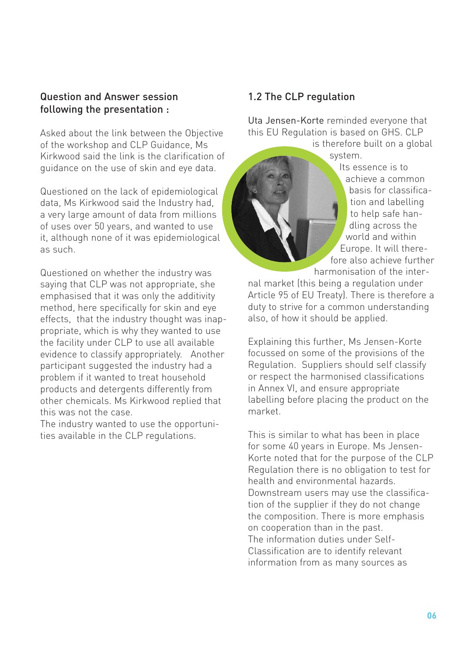#### Question and Answer session following the presentation :

Asked about the link between the Objective of the workshop and CLP Guidance, Ms Kirkwood said the link is the clarification of guidance on the use of skin and eye data.

Questioned on the lack of epidemiological data, Ms Kirkwood said the Industry had, a very large amount of data from millions of uses over 50 years, and wanted to use it, although none of it was epidemiological as such.

Questioned on whether the industry was saying that CLP was not appropriate, she emphasised that it was only the additivity method, here specifically for skin and eye effects, that the industry thought was inappropriate, which is why they wanted to use the facility under CLP to use all available evidence to classify appropriately. Another participant suggested the industry had a problem if it wanted to treat household products and detergents differently from other chemicals. Ms Kirkwood replied that this was not the case.

The industry wanted to use the opportunities available in the CLP regulations.

#### 1.2 The CLP regulation

Uta Jensen-Korte reminded everyone that this EU Regulation is based on GHS. CLP

is therefore built on a global system.

Its essence is to achieve a common basis for classification and labelling to help safe handling across the world and within Europe. It will therefore also achieve further harmonisation of the inter-

nal market (this being a regulation under Article 95 of EU Treaty). There is therefore a duty to strive for a common understanding also, of how it should be applied.

Explaining this further, Ms Jensen-Korte focussed on some of the provisions of the Regulation. Suppliers should self classify or respect the harmonised classifications in Annex VI, and ensure appropriate labelling before placing the product on the market.

This is similar to what has been in place for some 40 years in Europe. Ms Jensen-Korte noted that for the purpose of the CLP Regulation there is no obligation to test for health and environmental hazards. Downstream users may use the classification of the supplier if they do not change the composition. There is more emphasis on cooperation than in the past. The information duties under Self-Classification are to identify relevant information from as many sources as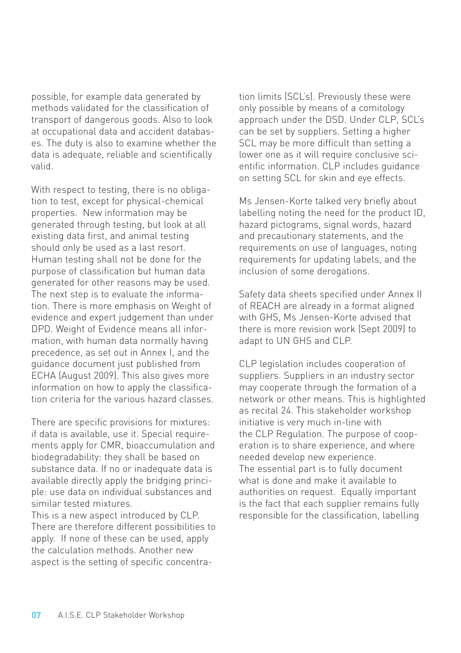possible, for example data generated by methods validated for the classification of transport of dangerous goods. Also to look at occupational data and accident databases. The duty is also to examine whether the data is adequate, reliable and scientifically valid.

With respect to testing, there is no obligation to test, except for physical-chemical properties. New information may be generated through testing, but look at all existing data first, and animal testing should only be used as a last resort. Human testing shall not be done for the purpose of classification but human data generated for other reasons may be used. The next step is to evaluate the information. There is more emphasis on Weight of evidence and expert judgement than under DPD. Weight of Evidence means all information, with human data normally having precedence, as set out in Annex I, and the guidance document just published from ECHA (August 2009). This also gives more information on how to apply the classification criteria for the various hazard classes.

There are specific provisions for mixtures: if data is available, use it. Special requirements apply for CMR, bioaccumulation and biodegradability: they shall be based on substance data. If no or inadequate data is available directly apply the bridging principle: use data on individual substances and similar tested mixtures.

This is a new aspect introduced by CLP. There are therefore different possibilities to apply. If none of these can be used, apply the calculation methods. Another new aspect is the setting of specific concentration limits (SCL's). Previously these were only possible by means of a comitology approach under the DSD. Under CLP, SCL's can be set by suppliers. Setting a higher SCL may be more difficult than setting a lower one as it will require conclusive scientific information. CLP includes guidance on setting SCL for skin and eye effects.

Ms Jensen-Korte talked very briefly about labelling noting the need for the product ID, hazard pictograms, signal words, hazard and precautionary statements, and the requirements on use of languages, noting requirements for updating labels, and the inclusion of some derogations.

Safety data sheets specified under Annex II of REACH are already in a format aligned with GHS, Ms Jensen-Korte advised that there is more revision work (Sept 2009) to adapt to UN GHS and CLP.

CLP legislation includes cooperation of suppliers. Suppliers in an industry sector may cooperate through the formation of a network or other means. This is highlighted as recital 24. This stakeholder workshop initiative is very much in-line with the CLP Regulation. The purpose of cooperation is to share experience, and where needed develop new experience. The essential part is to fully document what is done and make it available to authorities on request. Equally important is the fact that each supplier remains fully responsible for the classification, labelling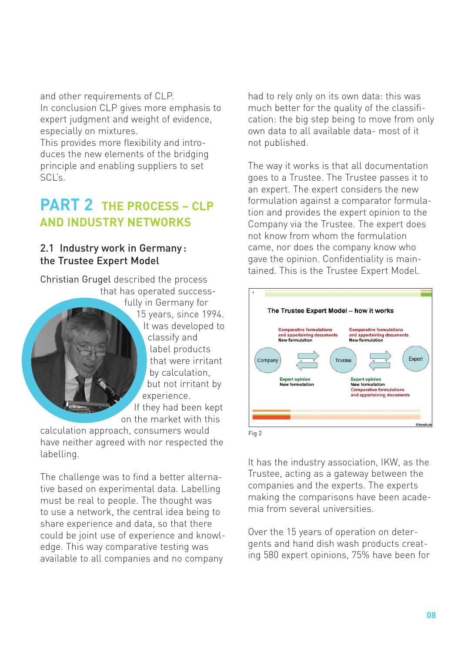and other requirements of CLP. In conclusion CLP gives more emphasis to expert judgment and weight of evidence, especially on mixtures.

This provides more flexibility and introduces the new elements of the bridging principle and enabling suppliers to set SCL's.

## **PART 2 THE PROCESS – CLP AND INDUSTRY NETWORKS**

#### 2.1 Industry work in Germany : the Trustee Expert Model

Christian Grugel described the process that has operated successfully in Germany for 15 years, since 1994. It was developed to classify and label products that were irritant by calculation, but not irritant by experience. If they had been kept on the market with this calculation approach, consumers would

have neither agreed with nor respected the labelling.

The challenge was to find a better alternative based on experimental data. Labelling must be real to people. The thought was to use a network, the central idea being to share experience and data, so that there could be joint use of experience and knowledge. This way comparative testing was available to all companies and no company

had to rely only on its own data: this was much better for the quality of the classification: the big step being to move from only own data to all available data- most of it not published.

The way it works is that all documentation goes to a Trustee. The Trustee passes it to an expert. The expert considers the new formulation against a comparator formulation and provides the expert opinion to the Company via the Trustee. The expert does not know from whom the formulation came, nor does the company know who gave the opinion. Confidentiality is maintained. This is the Trustee Expert Model.



It has the industry association, IKW, as the Trustee, acting as a gateway between the companies and the experts. The experts making the comparisons have been academia from several universities.

Over the 15 years of operation on detergents and hand dish wash products creating 580 expert opinions, 75% have been for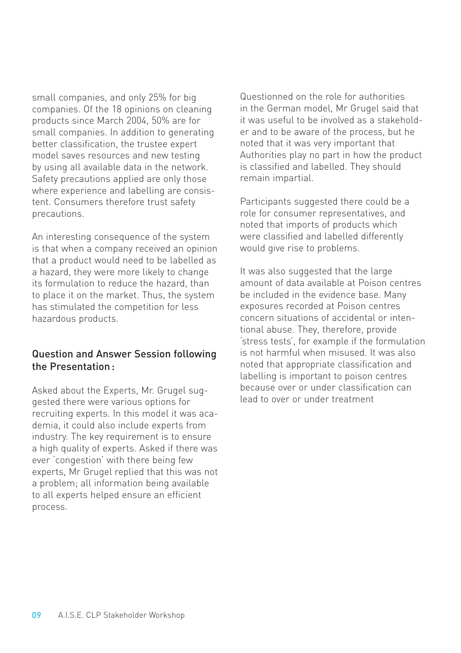small companies, and only 25% for big companies. Of the 18 opinions on cleaning products since March 2004, 50% are for small companies. In addition to generating better classification, the trustee expert model saves resources and new testing by using all available data in the network. Safety precautions applied are only those where experience and labelling are consistent. Consumers therefore trust safety precautions.

An interesting consequence of the system is that when a company received an opinion that a product would need to be labelled as a hazard, they were more likely to change its formulation to reduce the hazard, than to place it on the market. Thus, the system has stimulated the competition for less hazardous products.

#### Question and Answer Session following the Presentation :

Asked about the Experts, Mr. Grugel suggested there were various options for recruiting experts. In this model it was academia, it could also include experts from industry. The key requirement is to ensure a high quality of experts. Asked if there was ever 'congestion' with there being few experts, Mr Grugel replied that this was not a problem; all information being available to all experts helped ensure an efficient process.

Questionned on the role for authorities in the German model, Mr Grugel said that it was useful to be involved as a stakeholder and to be aware of the process, but he noted that it was very important that Authorities play no part in how the product is classified and labelled. They should remain impartial.

Participants suggested there could be a role for consumer representatives, and noted that imports of products which were classified and labelled differently would give rise to problems.

It was also suggested that the large amount of data available at Poison centres be included in the evidence base. Many exposures recorded at Poison centres concern situations of accidental or intentional abuse. They, therefore, provide 'stress tests', for example if the formulation is not harmful when misused. It was also noted that appropriate classification and labelling is important to poison centres because over or under classification can lead to over or under treatment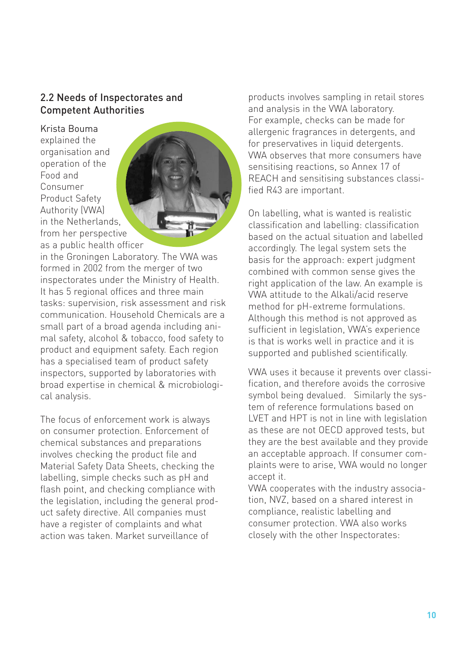#### 2.2 Needs of Inspectorates and Competent Authorities

Krista Bouma explained the organisation and operation of the Food and Consumer Product Safety Authority (VWA) in the Netherlands, from her perspective as a public health officer



in the Groningen Laboratory. The VWA was formed in 2002 from the merger of two inspectorates under the Ministry of Health. It has 5 regional offices and three main tasks: supervision, risk assessment and risk communication. Household Chemicals are a small part of a broad agenda including animal safety, alcohol & tobacco, food safety to product and equipment safety. Each region has a specialised team of product safety inspectors, supported by laboratories with broad expertise in chemical & microbiological analysis.

The focus of enforcement work is always on consumer protection. Enforcement of chemical substances and preparations involves checking the product file and Material Safety Data Sheets, checking the labelling, simple checks such as pH and flash point, and checking compliance with the legislation, including the general product safety directive. All companies must have a register of complaints and what action was taken. Market surveillance of

products involves sampling in retail stores and analysis in the VWA laboratory. For example, checks can be made for allergenic fragrances in detergents, and for preservatives in liquid detergents. VWA observes that more consumers have sensitising reactions, so Annex 17 of REACH and sensitising substances classified R43 are important.

On labelling, what is wanted is realistic classification and labelling: classification based on the actual situation and labelled accordingly. The legal system sets the basis for the approach: expert judgment combined with common sense gives the right application of the law. An example is VWA attitude to the Alkali/acid reserve method for pH-extreme formulations. Although this method is not approved as sufficient in legislation, VWA's experience is that is works well in practice and it is supported and published scientifically.

VWA uses it because it prevents over classification, and therefore avoids the corrosive symbol being devalued. Similarly the system of reference formulations based on LVET and HPT is not in line with legislation as these are not OECD approved tests, but they are the best available and they provide an acceptable approach. If consumer complaints were to arise, VWA would no longer accept it.

VWA cooperates with the industry association, NVZ, based on a shared interest in compliance, realistic labelling and consumer protection. VWA also works closely with the other Inspectorates: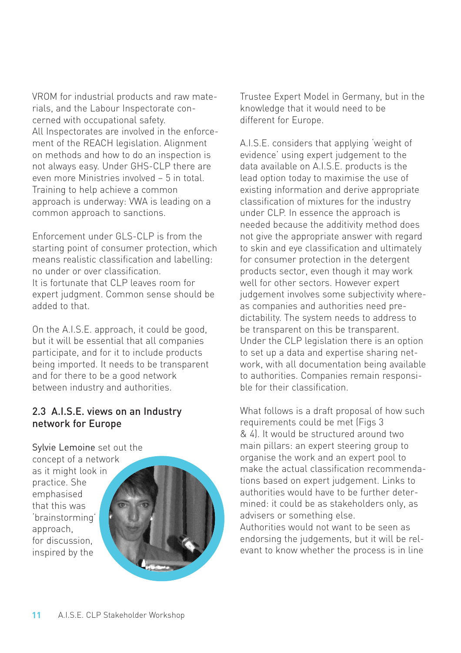VROM for industrial products and raw materials, and the Labour Inspectorate concerned with occupational safety. All Inspectorates are involved in the enforcement of the REACH legislation. Alignment on methods and how to do an inspection is not always easy. Under GHS-CLP there are even more Ministries involved – 5 in total. Training to help achieve a common approach is underway: VWA is leading on a common approach to sanctions.

Enforcement under GLS-CLP is from the starting point of consumer protection, which means realistic classification and labelling: no under or over classification. It is fortunate that CLP leaves room for expert judgment. Common sense should be added to that.

On the A.I.S.E. approach, it could be good, but it will be essential that all companies participate, and for it to include products being imported. It needs to be transparent and for there to be a good network between industry and authorities.

#### 2.3 A.I.S.E. views on an Industry network for Europe

Sylvie Lemoine set out the

concept of a network as it might look in practice. She emphasised that this was 'brainstorming' approach, for discussion, inspired by the



Trustee Expert Model in Germany, but in the knowledge that it would need to be different for Europe.

A.I.S.E. considers that applying 'weight of evidence' using expert judgement to the data available on A.I.S.E. products is the lead option today to maximise the use of existing information and derive appropriate classification of mixtures for the industry under CLP. In essence the approach is needed because the additivity method does not give the appropriate answer with regard to skin and eye classification and ultimately for consumer protection in the detergent products sector, even though it may work well for other sectors. However expert judgement involves some subjectivity whereas companies and authorities need predictability. The system needs to address to be transparent on this be transparent. Under the CLP legislation there is an option to set up a data and expertise sharing network, with all documentation being available to authorities. Companies remain responsible for their classification.

What follows is a draft proposal of how such requirements could be met (Figs 3 & 4). It would be structured around two main pillars: an expert steering group to organise the work and an expert pool to make the actual classification recommendations based on expert judgement. Links to authorities would have to be further determined: it could be as stakeholders only, as advisers or something else. Authorities would not want to be seen as endorsing the judgements, but it will be rel-

evant to know whether the process is in line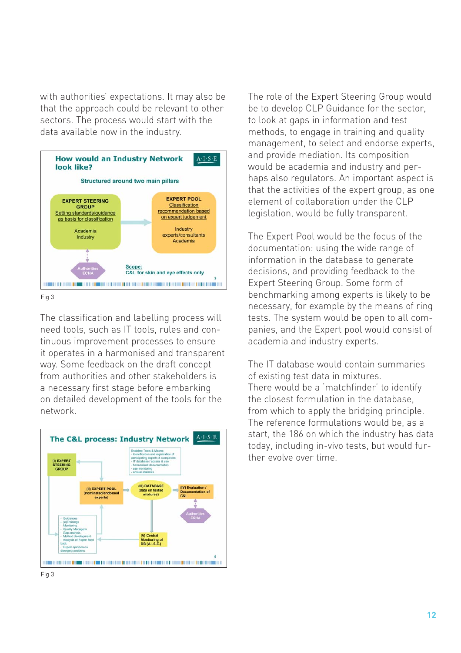with authorities' expectations. It may also be that the approach could be relevant to other sectors. The process would start with the data available now in the industry.



Fig 3

The classification and labelling process will need tools, such as IT tools, rules and continuous improvement processes to ensure it operates in a harmonised and transparent way. Some feedback on the draft concept from authorities and other stakeholders is a necessary first stage before embarking on detailed development of the tools for the network.



The role of the Expert Steering Group would be to develop CLP Guidance for the sector, to look at gaps in information and test methods, to engage in training and quality management, to select and endorse experts, and provide mediation. Its composition would be academia and industry and perhaps also regulators. An important aspect is that the activities of the expert group, as one element of collaboration under the CLP legislation, would be fully transparent.

The Expert Pool would be the focus of the documentation: using the wide range of information in the database to generate decisions, and providing feedback to the Expert Steering Group. Some form of benchmarking among experts is likely to be necessary, for example by the means of ring tests. The system would be open to all companies, and the Expert pool would consist of academia and industry experts.

The IT database would contain summaries of existing test data in mixtures. There would be a 'matchfinder' to identify the closest formulation in the database, from which to apply the bridging principle. The reference formulations would be, as a start, the 186 on which the industry has data today, including in-vivo tests, but would further evolve over time.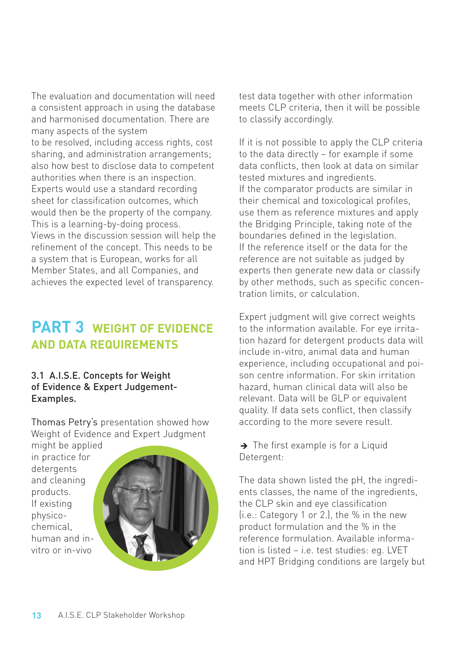The evaluation and documentation will need a consistent approach in using the database and harmonised documentation. There are many aspects of the system to be resolved, including access rights, cost sharing, and administration arrangements; also how best to disclose data to competent authorities when there is an inspection. Experts would use a standard recording sheet for classification outcomes, which would then be the property of the company. This is a learning-by-doing process. Views in the discussion session will help the refinement of the concept. This needs to be a system that is European, works for all Member States, and all Companies, and achieves the expected level of transparency.

### **PART 3 WEIGHT OF EVIDENCE AND DATA REQUIREMENTS**

#### 3.1 A.I.S.E. Concepts for Weight of Evidence & Expert Judgement-Examples.

Thomas Petry's presentation showed how Weight of Evidence and Expert Judgment might be applied

in practice for detergents and cleaning products. If existing physicochemical, human and invitro or in-vivo



test data together with other information meets CLP criteria, then it will be possible to classify accordingly.

If it is not possible to apply the CLP criteria to the data directly – for example if some data conflicts, then look at data on similar tested mixtures and ingredients. If the comparator products are similar in their chemical and toxicological profiles, use them as reference mixtures and apply the Bridging Principle, taking note of the boundaries defined in the legislation. If the reference itself or the data for the reference are not suitable as judged by experts then generate new data or classify by other methods, such as specific concentration limits, or calculation.

Expert judgment will give correct weights to the information available. For eye irritation hazard for detergent products data will include in-vitro, animal data and human experience, including occupational and poison centre information. For skin irritation hazard, human clinical data will also be relevant. Data will be GLP or equivalent quality. If data sets conflict, then classify according to the more severe result.

 $\rightarrow$  The first example is for a Liquid Detergent:

The data shown listed the pH, the ingredients classes, the name of the ingredients, the CLP skin and eye classification (i.e.: Category 1 or 2.), the % in the new product formulation and the % in the reference formulation. Available information is listed – i.e. test studies: eg. LVET and HPT Bridging conditions are largely but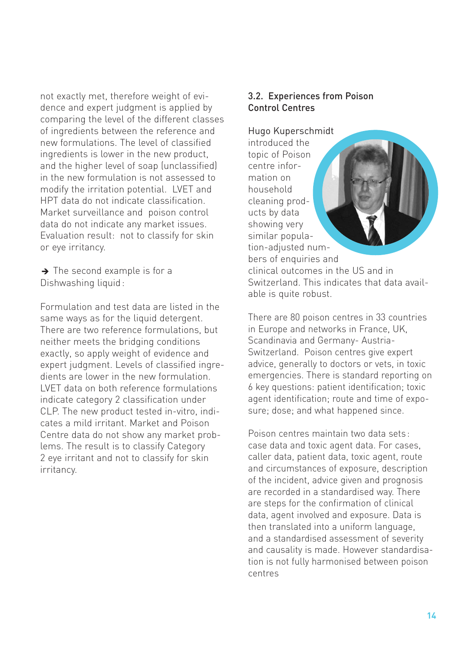not exactly met, therefore weight of evidence and expert judgment is applied by comparing the level of the different classes of ingredients between the reference and new formulations. The level of classified ingredients is lower in the new product, and the higher level of soap (unclassified) in the new formulation is not assessed to modify the irritation potential. LVET and HPT data do not indicate classification. Market surveillance and poison control data do not indicate any market issues. Evaluation result: not to classify for skin or eye irritancy.

 $\rightarrow$  The second example is for a Dishwashing liquid :

Formulation and test data are listed in the same ways as for the liquid detergent. There are two reference formulations, but neither meets the bridging conditions exactly, so apply weight of evidence and expert judgment. Levels of classified ingredients are lower in the new formulation. LVET data on both reference formulations indicate category 2 classification under CLP. The new product tested in-vitro, indicates a mild irritant. Market and Poison Centre data do not show any market problems. The result is to classify Category 2 eye irritant and not to classify for skin irritancy.

#### 3.2. Experiences from Poison Control Centres

Hugo Kuperschmidt introduced the topic of Poison centre information on household cleaning products by data showing very similar population-adjusted numbers of enquiries and clinical outcomes in the US and in Switzerland. This indicates that data available is quite robust.

There are 80 poison centres in 33 countries in Europe and networks in France, UK, Scandinavia and Germany- Austria-Switzerland. Poison centres give expert advice, generally to doctors or vets, in toxic emergencies. There is standard reporting on 6 key questions: patient identification; toxic agent identification; route and time of exposure; dose; and what happened since.

Poison centres maintain two data sets : case data and toxic agent data. For cases, caller data, patient data, toxic agent, route and circumstances of exposure, description of the incident, advice given and prognosis are recorded in a standardised way. There are steps for the confirmation of clinical data, agent involved and exposure. Data is then translated into a uniform language, and a standardised assessment of severity and causality is made. However standardisation is not fully harmonised between poison centres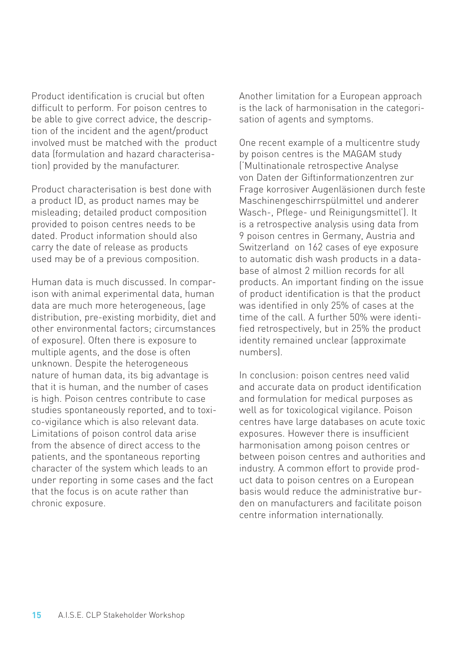Product identification is crucial but often difficult to perform. For poison centres to be able to give correct advice, the description of the incident and the agent/product involved must be matched with the product data (formulation and hazard characterisation) provided by the manufacturer.

Product characterisation is best done with a product ID, as product names may be misleading; detailed product composition provided to poison centres needs to be dated. Product information should also carry the date of release as products used may be of a previous composition.

Human data is much discussed. In comparison with animal experimental data, human data are much more heterogeneous, (age distribution, pre-existing morbidity, diet and other environmental factors; circumstances of exposure). Often there is exposure to multiple agents, and the dose is often unknown. Despite the heterogeneous nature of human data, its big advantage is that it is human, and the number of cases is high. Poison centres contribute to case studies spontaneously reported, and to toxico-vigilance which is also relevant data. Limitations of poison control data arise from the absence of direct access to the patients, and the spontaneous reporting character of the system which leads to an under reporting in some cases and the fact that the focus is on acute rather than chronic exposure.

Another limitation for a European approach is the lack of harmonisation in the categorisation of agents and symptoms.

One recent example of a multicentre study by poison centres is the MAGAM study ('Multinationale retrospective Analyse von Daten der Giftinformationzentren zur Frage korrosiver Augenläsionen durch feste Maschinengeschirrspülmittel und anderer Wasch-, Pflege- und Reinigungsmittel'). It is a retrospective analysis using data from 9 poison centres in Germany, Austria and Switzerland on 162 cases of eye exposure to automatic dish wash products in a database of almost 2 million records for all products. An important finding on the issue of product identification is that the product was identified in only 25% of cases at the time of the call. A further 50% were identified retrospectively, but in 25% the product identity remained unclear (approximate numbers).

In conclusion: poison centres need valid and accurate data on product identification and formulation for medical purposes as well as for toxicological vigilance. Poison centres have large databases on acute toxic exposures. However there is insufficient harmonisation among poison centres or between poison centres and authorities and industry. A common effort to provide product data to poison centres on a European basis would reduce the administrative burden on manufacturers and facilitate poison centre information internationally.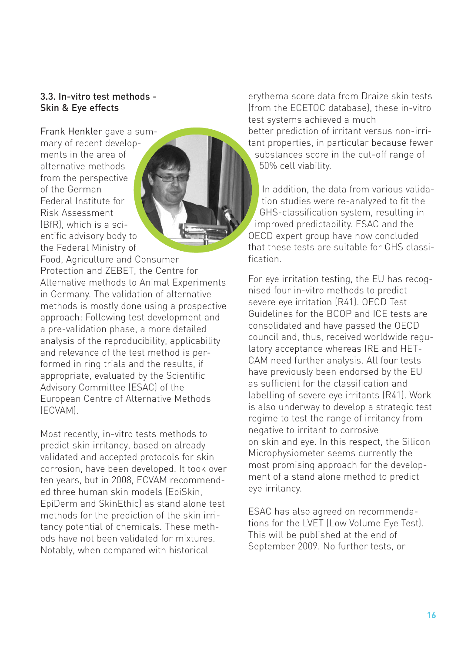#### 3.3. In-vitro test methods - Skin & Eye effects

Frank Henkler gave a summary of recent developments in the area of alternative methods from the perspective of the German Federal Institute for Risk Assessment (BfR), which is a scientific advisory body to the Federal Ministry of

Food, Agriculture and Consumer Protection and ZEBET, the Centre for Alternative methods to Animal Experiments in Germany. The validation of alternative methods is mostly done using a prospective approach: Following test development and a pre-validation phase, a more detailed analysis of the reproducibility, applicability and relevance of the test method is performed in ring trials and the results, if appropriate, evaluated by the Scientific Advisory Committee (ESAC) of the European Centre of Alternative Methods (ECVAM).

Most recently, in-vitro tests methods to predict skin irritancy, based on already validated and accepted protocols for skin corrosion, have been developed. It took over ten years, but in 2008, ECVAM recommended three human skin models (EpiSkin, EpiDerm and SkinEthic) as stand alone test methods for the prediction of the skin irritancy potential of chemicals. These methods have not been validated for mixtures. Notably, when compared with historical

erythema score data from Draize skin tests (from the ECETOC database), these in-vitro test systems achieved a much better prediction of irritant versus non-irritant properties, in particular because fewer substances score in the cut-off range of 50% cell viability.

In addition, the data from various validation studies were re-analyzed to fit the GHS-classification system, resulting in improved predictability. ESAC and the OECD expert group have now concluded that these tests are suitable for GHS classification.

For eye irritation testing, the EU has recognised four in-vitro methods to predict severe eye irritation (R41). OECD Test Guidelines for the BCOP and ICE tests are consolidated and have passed the OECD council and, thus, received worldwide regulatory acceptance whereas IRE and HET-CAM need further analysis. All four tests have previously been endorsed by the EU as sufficient for the classification and labelling of severe eye irritants (R41). Work is also underway to develop a strategic test regime to test the range of irritancy from negative to irritant to corrosive on skin and eye. In this respect, the Silicon Microphysiometer seems currently the most promising approach for the development of a stand alone method to predict eye irritancy.

ESAC has also agreed on recommendations for the LVET (Low Volume Eye Test). This will be published at the end of September 2009. No further tests, or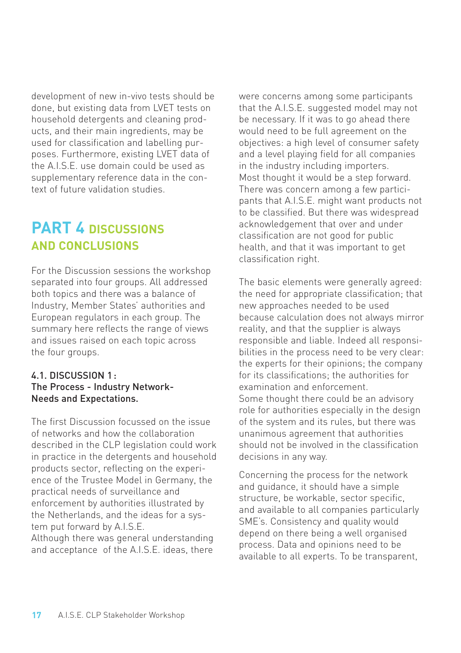development of new in-vivo tests should be done, but existing data from LVET tests on household detergents and cleaning products, and their main ingredients, may be used for classification and labelling purposes. Furthermore, existing LVET data of the A.I.S.E. use domain could be used as supplementary reference data in the context of future validation studies.

## **PART 4 DISCUSSIONS AND CONCLUSIONS**

For the Discussion sessions the workshop separated into four groups. All addressed both topics and there was a balance of Industry, Member States' authorities and European regulators in each group. The summary here reflects the range of views and issues raised on each topic across the four groups.

#### 4.1. DISCUSSION 1 : The Process - Industry Network-Needs and Expectations.

The first Discussion focussed on the issue of networks and how the collaboration described in the CLP legislation could work in practice in the detergents and household products sector, reflecting on the experience of the Trustee Model in Germany, the practical needs of surveillance and enforcement by authorities illustrated by the Netherlands, and the ideas for a system put forward by A.I.S.E. Although there was general understanding and acceptance of the A.I.S.E. ideas, there

were concerns among some participants that the A.I.S.E. suggested model may not be necessary. If it was to go ahead there would need to be full agreement on the objectives: a high level of consumer safety and a level playing field for all companies in the industry including importers. Most thought it would be a step forward. There was concern among a few participants that A.I.S.E. might want products not to be classified. But there was widespread acknowledgement that over and under classification are not good for public health, and that it was important to get classification right.

The basic elements were generally agreed: the need for appropriate classification; that new approaches needed to be used because calculation does not always mirror reality, and that the supplier is always responsible and liable. Indeed all responsibilities in the process need to be very clear: the experts for their opinions; the company for its classifications; the authorities for examination and enforcement. Some thought there could be an advisory role for authorities especially in the design of the system and its rules, but there was unanimous agreement that authorities should not be involved in the classification decisions in any way.

Concerning the process for the network and guidance, it should have a simple structure, be workable, sector specific, and available to all companies particularly SME's. Consistency and quality would depend on there being a well organised process. Data and opinions need to be available to all experts. To be transparent,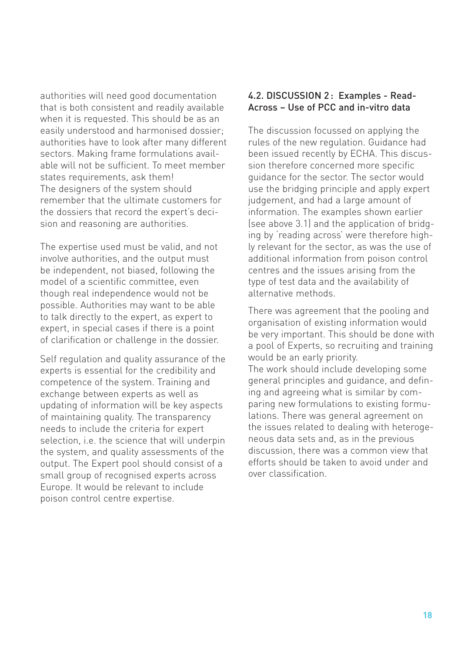authorities will need good documentation that is both consistent and readily available when it is requested. This should be as an easily understood and harmonised dossier; authorities have to look after many different sectors. Making frame formulations available will not be sufficient. To meet member states requirements, ask them! The designers of the system should remember that the ultimate customers for the dossiers that record the expert's decision and reasoning are authorities.

The expertise used must be valid, and not involve authorities, and the output must be independent, not biased, following the model of a scientific committee, even though real independence would not be possible. Authorities may want to be able to talk directly to the expert, as expert to expert, in special cases if there is a point of clarification or challenge in the dossier.

Self regulation and quality assurance of the experts is essential for the credibility and competence of the system. Training and exchange between experts as well as updating of information will be key aspects of maintaining quality. The transparency needs to include the criteria for expert selection, i.e. the science that will underpin the system, and quality assessments of the output. The Expert pool should consist of a small group of recognised experts across Europe. It would be relevant to include poison control centre expertise.

#### 4.2. DISCUSSION 2: Examples - Read-Across – Use of PCC and in-vitro data

The discussion focussed on applying the rules of the new regulation. Guidance had been issued recently by ECHA. This discussion therefore concerned more specific guidance for the sector. The sector would use the bridging principle and apply expert judgement, and had a large amount of information. The examples shown earlier (see above 3.1) and the application of bridging by 'reading across' were therefore highly relevant for the sector, as was the use of additional information from poison control centres and the issues arising from the type of test data and the availability of alternative methods.

There was agreement that the pooling and organisation of existing information would be very important. This should be done with a pool of Experts, so recruiting and training would be an early priority. The work should include developing some general principles and guidance, and defining and agreeing what is similar by comparing new formulations to existing formulations. There was general agreement on the issues related to dealing with heterogeneous data sets and, as in the previous discussion, there was a common view that efforts should be taken to avoid under and

over classification.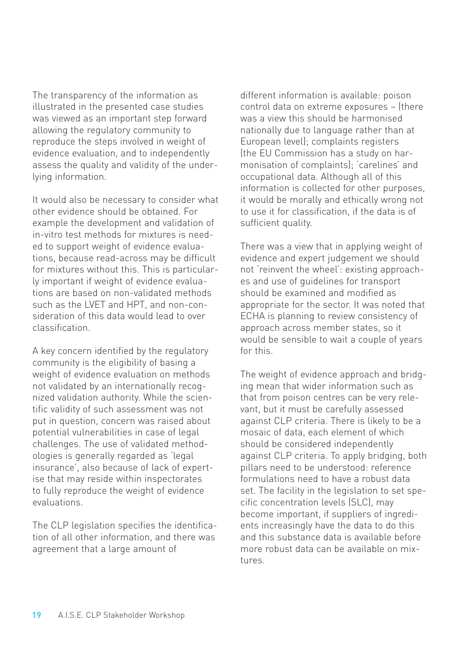The transparency of the information as illustrated in the presented case studies was viewed as an important step forward allowing the regulatory community to reproduce the steps involved in weight of evidence evaluation, and to independently assess the quality and validity of the underlying information.

It would also be necessary to consider what other evidence should be obtained. For example the development and validation of in-vitro test methods for mixtures is needed to support weight of evidence evaluations, because read-across may be difficult for mixtures without this. This is particularly important if weight of evidence evaluations are based on non-validated methods such as the LVET and HPT, and non-consideration of this data would lead to over classification.

A key concern identified by the regulatory community is the eligibility of basing a weight of evidence evaluation on methods not validated by an internationally recognized validation authority. While the scientific validity of such assessment was not put in question, concern was raised about potential vulnerabilities in case of legal challenges. The use of validated methodologies is generally regarded as 'legal insurance', also because of lack of expertise that may reside within inspectorates to fully reproduce the weight of evidence evaluations.

The CLP legislation specifies the identification of all other information, and there was agreement that a large amount of

different information is available: poison control data on extreme exposures – (there was a view this should be harmonised nationally due to language rather than at European level); complaints registers (the EU Commission has a study on harmonisation of complaints); 'carelines' and occupational data. Although all of this information is collected for other purposes, it would be morally and ethically wrong not to use it for classification, if the data is of sufficient quality.

There was a view that in applying weight of evidence and expert judgement we should not 'reinvent the wheel': existing approaches and use of guidelines for transport should be examined and modified as appropriate for the sector. It was noted that ECHA is planning to review consistency of approach across member states, so it would be sensible to wait a couple of years for this.

The weight of evidence approach and bridging mean that wider information such as that from poison centres can be very relevant, but it must be carefully assessed against CLP criteria. There is likely to be a mosaic of data, each element of which should be considered independently against CLP criteria. To apply bridging, both pillars need to be understood: reference formulations need to have a robust data set. The facility in the legislation to set specific concentration levels (SLC), may become important, if suppliers of ingredients increasingly have the data to do this and this substance data is available before more robust data can be available on mixtures.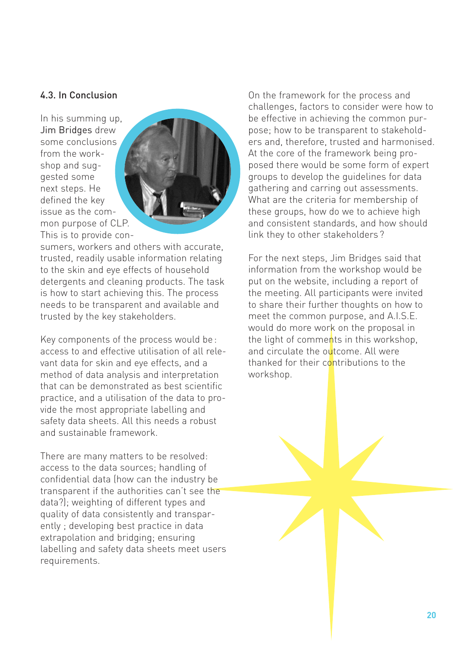#### 4.3. In Conclusion

In his summing up, Jim Bridges drew some conclusions from the workshop and suggested some next steps. He defined the key issue as the common purpose of CLP. This is to provide con-



sumers, workers and others with accurate, trusted, readily usable information relating to the skin and eye effects of household detergents and cleaning products. The task is how to start achieving this. The process needs to be transparent and available and trusted by the key stakeholders.

Key components of the process would be : access to and effective utilisation of all relevant data for skin and eye effects, and a method of data analysis and interpretation that can be demonstrated as best scientific practice, and a utilisation of the data to provide the most appropriate labelling and safety data sheets. All this needs a robust and sustainable framework.

There are many matters to be resolved: access to the data sources; handling of confidential data (how can the industry be transparent if the authorities can't see the data?); weighting of different types and quality of data consistently and transparently ; developing best practice in data extrapolation and bridging; ensuring labelling and safety data sheets meet users requirements.

On the framework for the process and challenges, factors to consider were how to be effective in achieving the common purpose; how to be transparent to stakeholders and, therefore, trusted and harmonised. At the core of the framework being proposed there would be some form of expert groups to develop the guidelines for data gathering and carring out assessments. What are the criteria for membership of these groups, how do we to achieve high and consistent standards, and how should link they to other stakeholders ?

For the next steps, Jim Bridges said that information from the workshop would be put on the website, including a report of the meeting. All participants were invited to share their further thoughts on how to meet the common purpose, and A.I.S.E. would do more work on the proposal in the light of comments in this workshop. and circulate the outcome. All were thanked for their contributions to the workshop.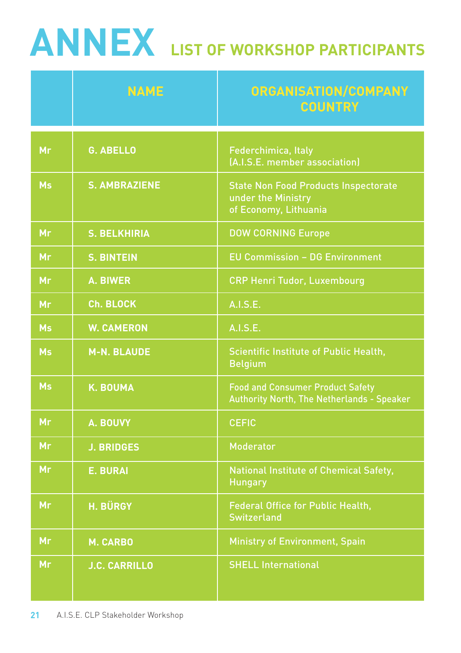# **ANNEX LIST OF WORKSHOP PARTICIPANTS**

|           | <b>NAME</b>          | <b>ORGANISATION/COMPANY</b><br><b>COUNTRY</b>                                                |
|-----------|----------------------|----------------------------------------------------------------------------------------------|
| Mr        | <b>G. ABELLO</b>     | Federchimica, Italy<br>(A.I.S.E. member association)                                         |
| <b>Ms</b> | <b>S. AMBRAZIENE</b> | <b>State Non Food Products Inspectorate</b><br>under the Ministry<br>of Economy, Lithuania   |
| Mr        | <b>S. BELKHIRIA</b>  | <b>DOW CORNING Europe</b>                                                                    |
| Mr        | <b>S. BINTEIN</b>    | <b>EU Commission - DG Environment</b>                                                        |
| Mr        | <b>A. BIWER</b>      | <b>CRP Henri Tudor, Luxembourg</b>                                                           |
| Mr        | Ch. BLOCK            | A.I.S.E.                                                                                     |
| <b>Ms</b> | <b>W. CAMERON</b>    | A.I.S.E.                                                                                     |
| <b>Ms</b> | <b>M-N. BLAUDE</b>   | <b>Scientific Institute of Public Health,</b><br><b>Belgium</b>                              |
| <b>Ms</b> | <b>K. BOUMA</b>      | <b>Food and Consumer Product Safety</b><br><b>Authority North, The Netherlands - Speaker</b> |
| Mr        | A. BOUVY             | <b>CEFIC</b>                                                                                 |
| Mr        | <b>J. BRIDGES</b>    | <b>Moderator</b>                                                                             |
| Mr        | <b>E. BURAI</b>      | National Institute of Chemical Safety,<br><b>Hungary</b>                                     |
| Mr        | H. BÜRGY             | <b>Federal Office for Public Health,</b><br><b>Switzerland</b>                               |
| Mr        | <b>M. CARBO</b>      | <b>Ministry of Environment, Spain</b>                                                        |
| <b>Mr</b> | <b>J.C. CARRILLO</b> | <b>SHELL International</b>                                                                   |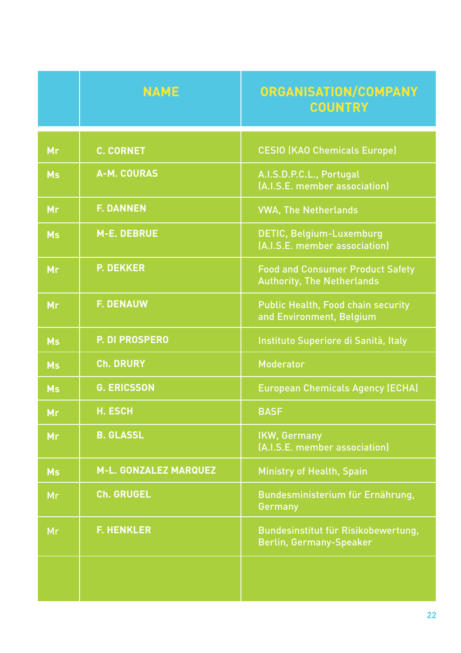|           | <b>NAME</b>                  | ORGANISATION/COMPANY<br><b>COUNTRY</b>                                       |
|-----------|------------------------------|------------------------------------------------------------------------------|
| Mr        | <b>C. CORNET</b>             | <b>CESIO (KAO Chemicals Europe)</b>                                          |
| <b>Ms</b> | <b>A-M. COURAS</b>           | A.I.S.D.P.C.L., Portugal<br>(A.I.S.E. member association)                    |
| Mr        | <b>F. DANNEN</b>             | <b>VWA, The Netherlands</b>                                                  |
| <b>Ms</b> | <b>M-E. DEBRUE</b>           | <b>DETIC, Belgium-Luxemburg</b><br>(A.I.S.E. member association)             |
| Mr        | <b>P. DEKKER</b>             | <b>Food and Consumer Product Safety</b><br><b>Authority, The Netherlands</b> |
| Mr        | <b>F. DENAUW</b>             | <b>Public Health, Food chain security</b><br>and Environment, Belgium        |
| <b>Ms</b> | P. DI PROSPERO               | Instituto Superiore di Sanità, Italy                                         |
| <b>Ms</b> | <b>Ch. DRURY</b>             | <b>Moderator</b>                                                             |
| <b>Ms</b> | <b>G. ERICSSON</b>           | <b>European Chemicals Agency (ECHA)</b>                                      |
| Mr        | <b>H. ESCH</b>               | <b>BASF</b>                                                                  |
| Mr        | <b>B. GLASSL</b>             | <b>IKW, Germany</b><br>(A.I.S.E. member association)                         |
| <b>Ms</b> | <b>M-L. GONZALEZ MARQUEZ</b> | <b>Ministry of Health, Spain</b>                                             |
| Mr        | <b>Ch. GRUGEL</b>            | Bundesministerium für Ernährung,<br>Germany                                  |
| Mr        | <b>F. HENKLER</b>            | Bundesinstitut für Risikobewertung,<br><b>Berlin, Germany-Speaker</b>        |
|           |                              |                                                                              |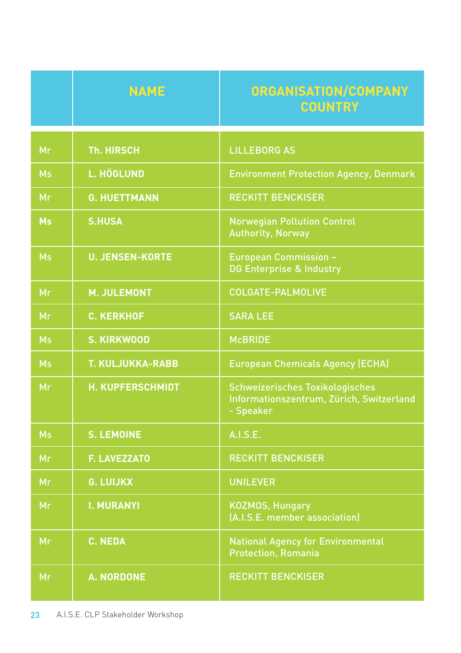|           | <b>NAME</b>             | <b>ORGANISATION/COMPANY</b><br><b>COUNTRY</b>                                                   |
|-----------|-------------------------|-------------------------------------------------------------------------------------------------|
| Mr        | <b>Th. HIRSCH</b>       | <b>LILLEBORG AS</b>                                                                             |
| <b>Ms</b> | <b>L. HÖGLUND</b>       | <b>Environment Protection Agency, Denmark</b>                                                   |
| Mr        | <b>G. HUETTMANN</b>     | <b>RECKITT BENCKISER</b>                                                                        |
| <b>Ms</b> | <b>S.HUSA</b>           | <b>Norwegian Pollution Control</b><br><b>Authority, Norway</b>                                  |
| <b>Ms</b> | <b>U. JENSEN-KORTE</b>  | <b>European Commission -</b><br><b>DG Enterprise &amp; Industry</b>                             |
| Mr        | <b>M. JULEMONT</b>      | <b>COLGATE-PALMOLIVE</b>                                                                        |
| Mr        | <b>C. KERKHOF</b>       | <b>SARA LEE</b>                                                                                 |
| <b>Ms</b> | <b>S. KIRKWOOD</b>      | <b>McBRIDE</b>                                                                                  |
| <b>Ms</b> | <b>T. KULJUKKA-RABB</b> | <b>European Chemicals Agency (ECHA)</b>                                                         |
| Mr        | <b>H. KUPFERSCHMIDT</b> | <b>Schweizerisches Toxikologisches</b><br>Informationszentrum, Zürich, Switzerland<br>- Speaker |
| <b>Ms</b> | <b>S. LEMOINE</b>       | A.I.S.E.                                                                                        |
| Mr        | <b>F. LAVEZZATO</b>     | <b>RECKITT BENCKISER</b>                                                                        |
| Mr        | <b>G. LUIJKX</b>        | <b>UNILEVER</b>                                                                                 |
| Mr        | <b>I. MURANYI</b>       | <b>KOZMOS, Hungary</b><br>(A.I.S.E. member association)                                         |
| Mr        | <b>C. NEDA</b>          | <b>National Agency for Environmental</b><br><b>Protection, Romania</b>                          |
| Mr        | <b>A. NORDONE</b>       | <b>RECKITT BENCKISER</b>                                                                        |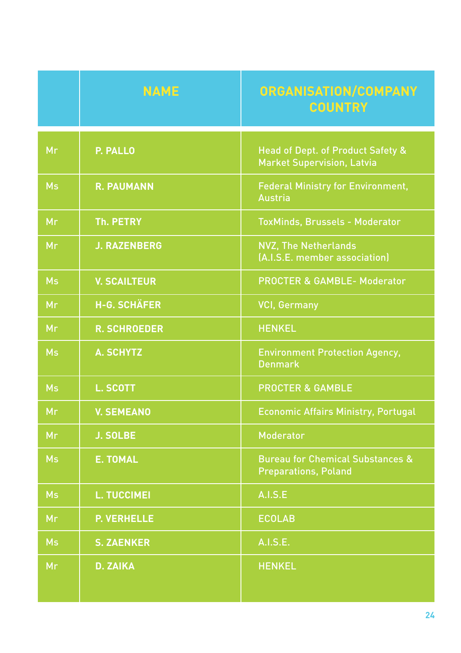|           | <b>NAME</b>         | ORGANISATION/COMPANY<br><b>COUNTRY</b>                                            |
|-----------|---------------------|-----------------------------------------------------------------------------------|
| Mr        | P. PALLO            | <b>Head of Dept. of Product Safety &amp;</b><br><b>Market Supervision, Latvia</b> |
| <b>Ms</b> | <b>R. PAUMANN</b>   | <b>Federal Ministry for Environment,</b><br><b>Austria</b>                        |
| Mr        | <b>Th. PETRY</b>    | <b>ToxMinds, Brussels - Moderator</b>                                             |
| Mr        | <b>J. RAZENBERG</b> | <b>NVZ, The Netherlands</b><br>(A.I.S.E. member association)                      |
| <b>Ms</b> | <b>V. SCAILTEUR</b> | <b>PROCTER &amp; GAMBLE- Moderator</b>                                            |
| Mr        | <b>H-G. SCHÄFER</b> | <b>VCI, Germany</b>                                                               |
| Mr        | <b>R. SCHROEDER</b> | <b>HENKEL</b>                                                                     |
| <b>Ms</b> | <b>A. SCHYTZ</b>    | <b>Environment Protection Agency,</b><br><b>Denmark</b>                           |
| <b>Ms</b> | <b>L. SCOTT</b>     | <b>PROCTER &amp; GAMBLE</b>                                                       |
| Mr        | <b>V. SEMEANO</b>   | <b>Economic Affairs Ministry, Portugal</b>                                        |
| Mr        | <b>J. SOLBE</b>     | <b>Moderator</b>                                                                  |
| <b>Ms</b> | <b>E. TOMAL</b>     | <b>Bureau for Chemical Substances &amp;</b><br><b>Preparations, Poland</b>        |
| <b>Ms</b> | <b>L. TUCCIMEI</b>  | <b>A.I.S.E</b>                                                                    |
| Mr        | <b>P. VERHELLE</b>  | <b>ECOLAB</b>                                                                     |
| <b>Ms</b> | <b>S. ZAENKER</b>   | A.I.S.E.                                                                          |
| Mr        | <b>D. ZAIKA</b>     | <b>HENKEL</b>                                                                     |